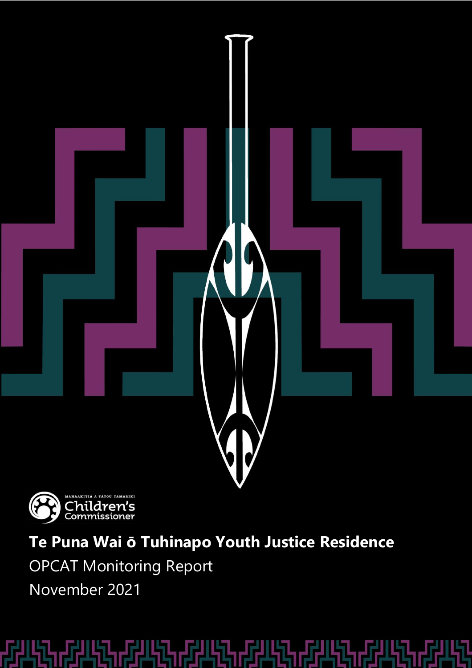



**Te Puna Wai ō Tuhinapo Youth Justice Residence**

OPCAT Monitoring Report

November 2021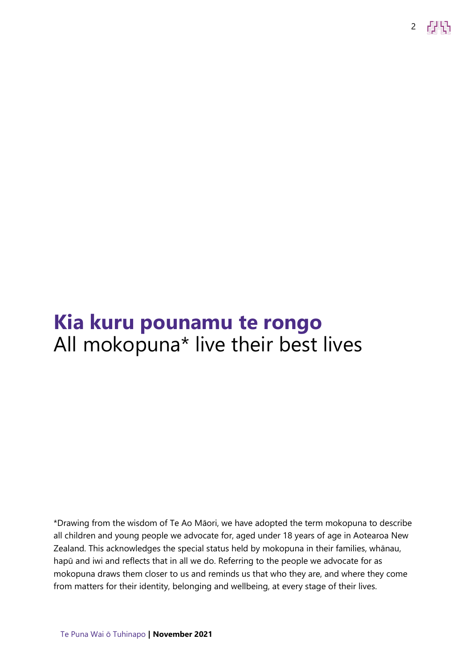2 **FEAR** 

## **Kia kuru pounamu te rongo** All mokopuna\* live their best lives

\*Drawing from the wisdom of Te Ao Māori, we have adopted the term mokopuna to describe all children and young people we advocate for, aged under 18 years of age in Aotearoa New Zealand. This acknowledges the special status held by mokopuna in their families, whānau, hapū and iwi and reflects that in all we do. Referring to the people we advocate for as mokopuna draws them closer to us and reminds us that who they are, and where they come from matters for their identity, belonging and wellbeing, at every stage of their lives.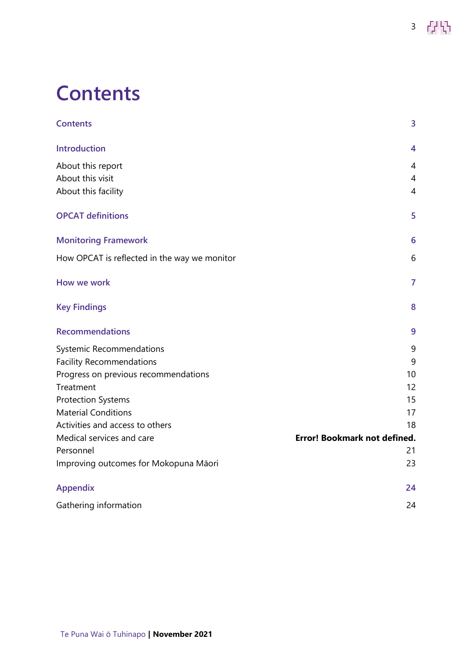## <span id="page-2-0"></span>**Contents**

| <b>Contents</b>                              | 3                                   |
|----------------------------------------------|-------------------------------------|
| <b>Introduction</b>                          | 4                                   |
| About this report                            | 4                                   |
| About this visit                             | 4                                   |
| About this facility                          | $\overline{4}$                      |
| <b>OPCAT definitions</b>                     | 5                                   |
| <b>Monitoring Framework</b>                  | 6                                   |
| How OPCAT is reflected in the way we monitor | 6                                   |
| How we work                                  | $\overline{7}$                      |
| <b>Key Findings</b>                          | 8                                   |
| <b>Recommendations</b>                       | 9                                   |
| <b>Systemic Recommendations</b>              | 9                                   |
| <b>Facility Recommendations</b>              | 9                                   |
| Progress on previous recommendations         | 10                                  |
| Treatment                                    | 12                                  |
| <b>Protection Systems</b>                    | 15                                  |
| <b>Material Conditions</b>                   | 17                                  |
| Activities and access to others              | 18                                  |
| Medical services and care                    | <b>Error! Bookmark not defined.</b> |
| Personnel                                    | 21                                  |
| Improving outcomes for Mokopuna Māori        | 23                                  |
| <b>Appendix</b>                              | 24                                  |
| Gathering information                        | 24                                  |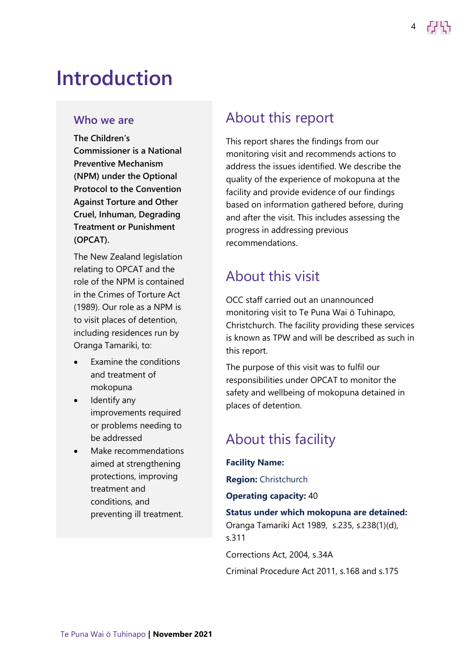## <span id="page-3-0"></span>**Introduction**

#### **Who we are**

**The Children's Commissioner is a National Preventive Mechanism (NPM) under the Optional Protocol to the Convention Against Torture and Other Cruel, Inhuman, Degrading Treatment or Punishment (OPCAT).**

The New Zealand legislation relating to OPCAT and the role of the NPM is contained in the Crimes of Torture Act (1989). Our role as a NPM is to visit places of detention, including residences run by Oranga Tamariki, to:

- Examine the conditions and treatment of mokopuna
- Identify any improvements required or problems needing to be addressed
- Make recommendations aimed at strengthening protections, improving treatment and conditions, and preventing ill treatment.

### <span id="page-3-1"></span>About this report

This report shares the findings from our monitoring visit and recommends actions to address the issues identified. We describe the quality of the experience of mokopuna at the facility and provide evidence of our findings based on information gathered before, during and after the visit. This includes assessing the progress in addressing previous recommendations.

### <span id="page-3-2"></span>About this visit

OCC staff carried out an unannounced monitoring visit to Te Puna Wai ō Tuhinapo, Christchurch. The facility providing these services is known as TPW and will be described as such in this report.

The purpose of this visit was to fulfil our responsibilities under OPCAT to monitor the safety and wellbeing of mokopuna detained in places of detention.

## <span id="page-3-3"></span>About this facility

**Facility Name:**

**Region:** Christchurch

**Operating capacity:** 40

**Status under which mokopuna are detained:** Oranga Tamariki Act 1989, s.235, s.238(1)(d),

s.311

Corrections Act, 2004, s.34A

Criminal Procedure Act 2011, s.168 and s.175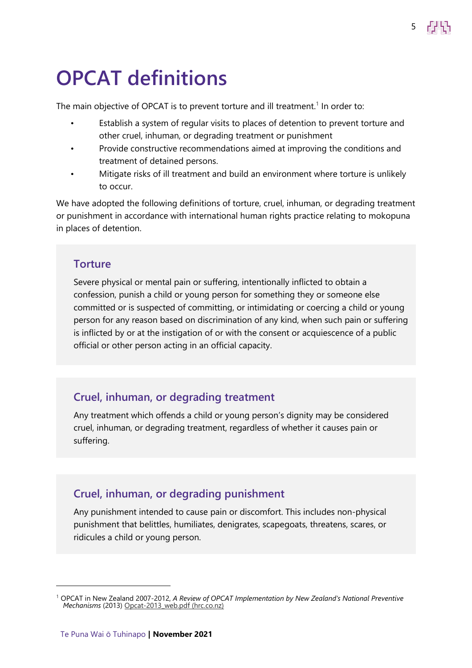## <span id="page-4-0"></span>**OPCAT definitions**

The main objective of OPCAT is to prevent torture and ill treatment.<sup>1</sup> In order to:

Establish a system of regular visits to places of detention to prevent torture and other cruel, inhuman, or degrading treatment or punishment

5

- Provide constructive recommendations aimed at improving the conditions and treatment of detained persons.
- Mitigate risks of ill treatment and build an environment where torture is unlikely to occur.

We have adopted the following definitions of torture, cruel, inhuman, or degrading treatment or punishment in accordance with international human rights practice relating to mokopuna in places of detention.

#### **Torture**

Severe physical or mental pain or suffering, intentionally inflicted to obtain a confession, punish a child or young person for something they or someone else committed or is suspected of committing, or intimidating or coercing a child or young person for any reason based on discrimination of any kind, when such pain or suffering is inflicted by or at the instigation of or with the consent or acquiescence of a public official or other person acting in an official capacity.

#### **Cruel, inhuman, or degrading treatment**

Any treatment which offends a child or young person's dignity may be considered cruel, inhuman, or degrading treatment, regardless of whether it causes pain or suffering.

#### **Cruel, inhuman, or degrading punishment**

Any punishment intended to cause pain or discomfort. This includes non-physical punishment that belittles, humiliates, denigrates, scapegoats, threatens, scares, or ridicules a child or young person.

<sup>1</sup> OPCAT in New Zealand 2007-2012, *A Review of OPCAT Implementation by New Zealand's National Preventive Mechanisms* (2013) [Opcat-2013\\_web.pdf \(hrc.co.nz\)](https://www.hrc.co.nz/files/2214/2398/7100/Opcat-2013_web.pdf)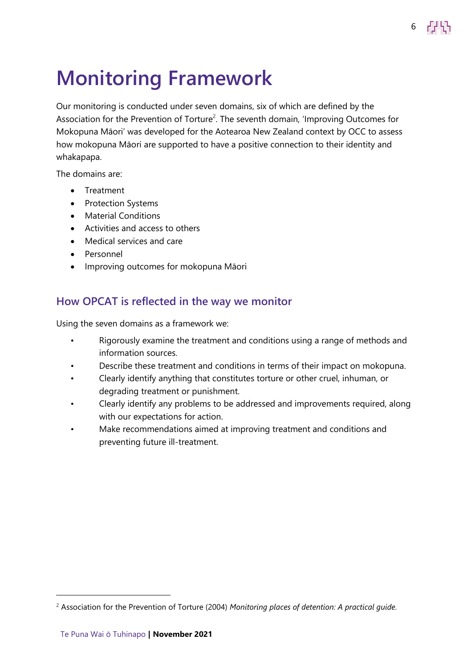## <span id="page-5-0"></span>**Monitoring Framework**

Our monitoring is conducted under seven domains, six of which are defined by the Association for the Prevention of Torture<sup>2</sup>. The seventh domain, 'Improving Outcomes for Mokopuna Māori' was developed for the Aotearoa New Zealand context by OCC to assess how mokopuna Māori are supported to have a positive connection to their identity and whakapapa.

6

The domains are:

- Treatment
- Protection Systems
- Material Conditions
- Activities and access to others
- Medical services and care
- Personnel
- Improving outcomes for mokopuna Māori

#### <span id="page-5-1"></span>**How OPCAT is reflected in the way we monitor**

Using the seven domains as a framework we:

- Rigorously examine the treatment and conditions using a range of methods and information sources.
- Describe these treatment and conditions in terms of their impact on mokopuna.
- Clearly identify anything that constitutes torture or other cruel, inhuman, or degrading treatment or punishment.
- Clearly identify any problems to be addressed and improvements required, along with our expectations for action.
- Make recommendations aimed at improving treatment and conditions and preventing future ill-treatment.

<sup>2</sup> Association for the Prevention of Torture (2004) *Monitoring places of detention: A practical guide.*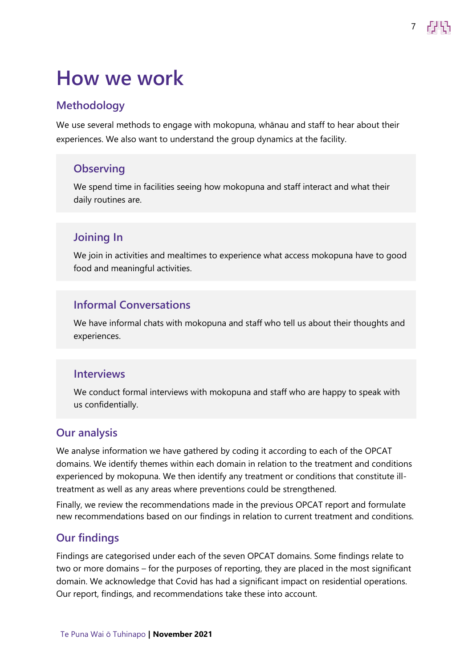## <span id="page-6-0"></span>**How we work**

#### **Methodology**

We use several methods to engage with mokopuna, whānau and staff to hear about their experiences. We also want to understand the group dynamics at the facility.

#### **Observing**

We spend time in facilities seeing how mokopuna and staff interact and what their daily routines are.

#### **Joining In**

We join in activities and mealtimes to experience what access mokopuna have to good food and meaningful activities.

#### **Informal Conversations**

We have informal chats with mokopuna and staff who tell us about their thoughts and experiences.

#### **Interviews**

We conduct formal interviews with mokopuna and staff who are happy to speak with us confidentially.

#### **Our analysis**

We analyse information we have gathered by coding it according to each of the OPCAT domains. We identify themes within each domain in relation to the treatment and conditions experienced by mokopuna. We then identify any treatment or conditions that constitute illtreatment as well as any areas where preventions could be strengthened.

Finally, we review the recommendations made in the previous OPCAT report and formulate new recommendations based on our findings in relation to current treatment and conditions.

#### **Our findings**

Findings are categorised under each of the seven OPCAT domains. Some findings relate to two or more domains – for the purposes of reporting, they are placed in the most significant domain. We acknowledge that Covid has had a significant impact on residential operations. Our report, findings, and recommendations take these into account.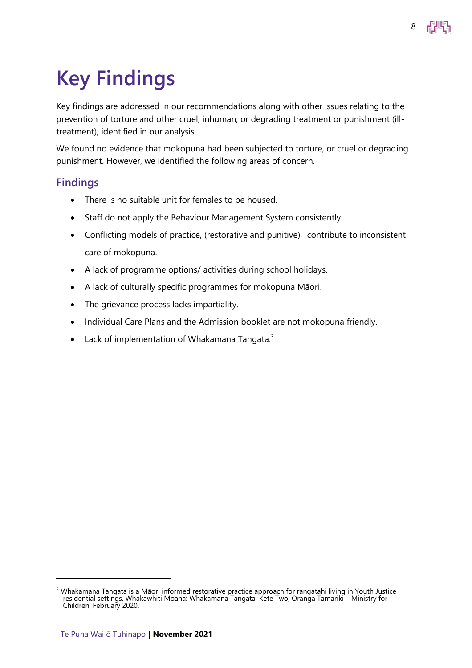# <span id="page-7-0"></span>**Key Findings**

Key findings are addressed in our recommendations along with other issues relating to the prevention of torture and other cruel, inhuman, or degrading treatment or punishment (illtreatment), identified in our analysis.

We found no evidence that mokopuna had been subjected to torture, or cruel or degrading punishment. However, we identified the following areas of concern.

#### **Findings**

- There is no suitable unit for females to be housed.
- Staff do not apply the Behaviour Management System consistently.
- Conflicting models of practice, (restorative and punitive), contribute to inconsistent care of mokopuna.
- A lack of programme options/ activities during school holidays.
- A lack of culturally specific programmes for mokopuna Māori.
- The grievance process lacks impartiality.
- Individual Care Plans and the Admission booklet are not mokopuna friendly.
- Lack of implementation of Whakamana Tangata. $3$

<span id="page-7-1"></span><sup>&</sup>lt;sup>3</sup> Whakamana Tangata is a Māori informed restorative practice approach for rangatahi living in Youth Justice residential settings. Whakawhiti Moana: Whakamana Tangata, Kete Two, Oranga Tamariki – Ministry for Children, February 2020.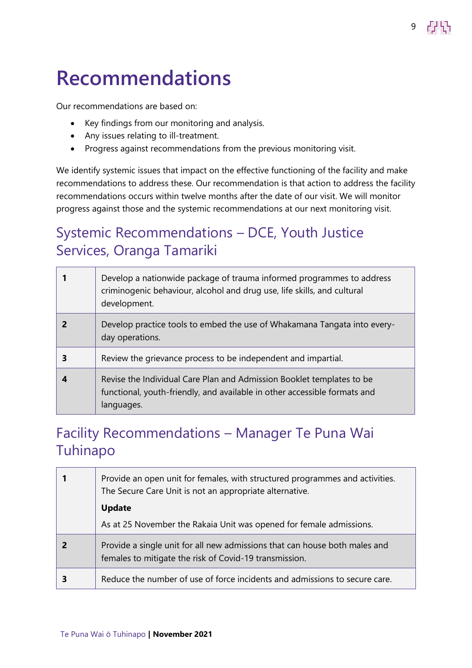## **Recommendations**

Our recommendations are based on:

- Key findings from our monitoring and analysis.
- Any issues relating to ill-treatment.
- Progress against recommendations from the previous monitoring visit.

We identify systemic issues that impact on the effective functioning of the facility and make recommendations to address these. Our recommendation is that action to address the facility recommendations occurs within twelve months after the date of our visit. We will monitor progress against those and the systemic recommendations at our next monitoring visit.

9

### <span id="page-8-0"></span>Systemic Recommendations – DCE, Youth Justice Services, Oranga Tamariki

| Develop a nationwide package of trauma informed programmes to address<br>criminogenic behaviour, alcohol and drug use, life skills, and cultural<br>development. |
|------------------------------------------------------------------------------------------------------------------------------------------------------------------|
| Develop practice tools to embed the use of Whakamana Tangata into every-<br>day operations.                                                                      |
| Review the grievance process to be independent and impartial.                                                                                                    |
| Revise the Individual Care Plan and Admission Booklet templates to be<br>functional, youth-friendly, and available in other accessible formats and<br>languages. |

### <span id="page-8-1"></span>Facility Recommendations – Manager Te Puna Wai Tuhinapo

| Provide an open unit for females, with structured programmes and activities.<br>The Secure Care Unit is not an appropriate alternative.<br>Update |  |
|---------------------------------------------------------------------------------------------------------------------------------------------------|--|
| As at 25 November the Rakaia Unit was opened for female admissions.                                                                               |  |
| Provide a single unit for all new admissions that can house both males and<br>females to mitigate the risk of Covid-19 transmission.              |  |
| Reduce the number of use of force incidents and admissions to secure care.                                                                        |  |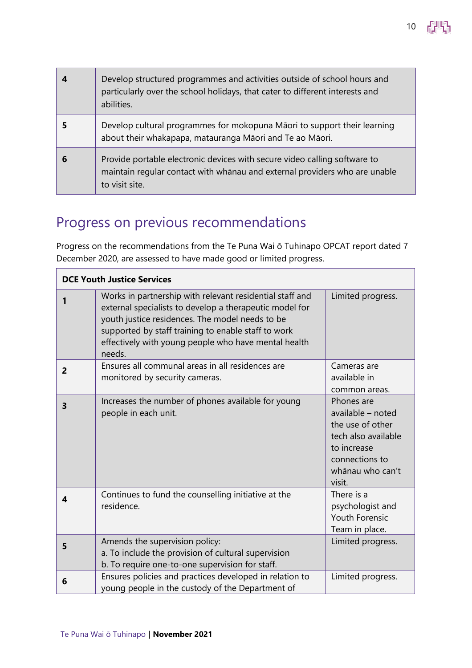| Develop structured programmes and activities outside of school hours and<br>particularly over the school holidays, that cater to different interests and<br>abilities.    |
|---------------------------------------------------------------------------------------------------------------------------------------------------------------------------|
| Develop cultural programmes for mokopuna Māori to support their learning<br>about their whakapapa, matauranga Māori and Te ao Māori.                                      |
| Provide portable electronic devices with secure video calling software to<br>maintain regular contact with whānau and external providers who are unable<br>to visit site. |

## <span id="page-9-0"></span>Progress on previous recommendations

Progress on the recommendations from the Te Puna Wai ō Tuhinapo OPCAT report dated 7 December 2020, are assessed to have made good or limited progress.

| <b>DCE Youth Justice Services</b> |                                                                                                                                                                                                                                                                                                 |                                                                                                                                           |
|-----------------------------------|-------------------------------------------------------------------------------------------------------------------------------------------------------------------------------------------------------------------------------------------------------------------------------------------------|-------------------------------------------------------------------------------------------------------------------------------------------|
|                                   | Works in partnership with relevant residential staff and<br>external specialists to develop a therapeutic model for<br>youth justice residences. The model needs to be<br>supported by staff training to enable staff to work<br>effectively with young people who have mental health<br>needs. | Limited progress.                                                                                                                         |
| $\overline{2}$                    | Ensures all communal areas in all residences are<br>monitored by security cameras.                                                                                                                                                                                                              | Cameras are<br>available in<br>common areas.                                                                                              |
| 3                                 | Increases the number of phones available for young<br>people in each unit.                                                                                                                                                                                                                      | Phones are<br>available - noted<br>the use of other<br>tech also available<br>to increase<br>connections to<br>whānau who can't<br>visit. |
| 4                                 | Continues to fund the counselling initiative at the<br>residence.                                                                                                                                                                                                                               | There is a<br>psychologist and<br><b>Youth Forensic</b><br>Team in place.                                                                 |
| 5                                 | Amends the supervision policy:<br>a. To include the provision of cultural supervision<br>b. To require one-to-one supervision for staff.                                                                                                                                                        | Limited progress.                                                                                                                         |
| 6                                 | Ensures policies and practices developed in relation to<br>young people in the custody of the Department of                                                                                                                                                                                     | Limited progress.                                                                                                                         |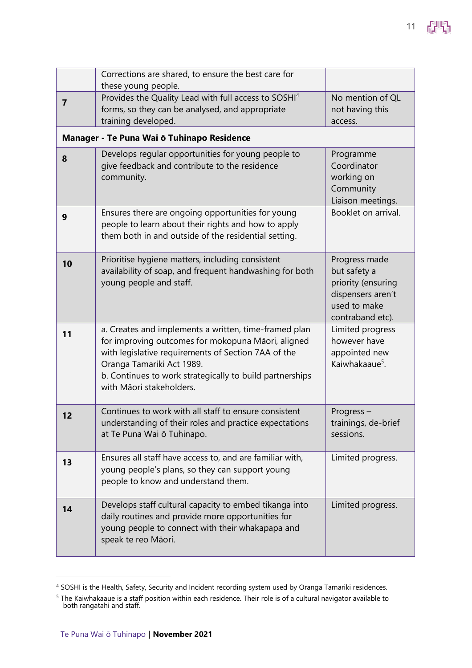|                | Corrections are shared, to ensure the best care for<br>these young people.                                                                                                                                                                                                              |                                                                                                              |
|----------------|-----------------------------------------------------------------------------------------------------------------------------------------------------------------------------------------------------------------------------------------------------------------------------------------|--------------------------------------------------------------------------------------------------------------|
| $\overline{7}$ | Provides the Quality Lead with full access to SOSHI <sup>4</sup><br>forms, so they can be analysed, and appropriate<br>training developed.                                                                                                                                              | No mention of QL<br>not having this<br>access.                                                               |
|                | Manager - Te Puna Wai ō Tuhinapo Residence                                                                                                                                                                                                                                              |                                                                                                              |
| 8              | Develops regular opportunities for young people to<br>give feedback and contribute to the residence<br>community.                                                                                                                                                                       | Programme<br>Coordinator<br>working on<br>Community<br>Liaison meetings.                                     |
| 9              | Ensures there are ongoing opportunities for young<br>people to learn about their rights and how to apply<br>them both in and outside of the residential setting.                                                                                                                        | Booklet on arrival.                                                                                          |
| 10             | Prioritise hygiene matters, including consistent<br>availability of soap, and frequent handwashing for both<br>young people and staff.                                                                                                                                                  | Progress made<br>but safety a<br>priority (ensuring<br>dispensers aren't<br>used to make<br>contraband etc). |
| 11             | a. Creates and implements a written, time-framed plan<br>for improving outcomes for mokopuna Māori, aligned<br>with legislative requirements of Section 7AA of the<br>Oranga Tamariki Act 1989.<br>b. Continues to work strategically to build partnerships<br>with Māori stakeholders. | Limited progress<br>however have<br>appointed new<br>Kaiwhakaaue <sup>5</sup> .                              |
| 12             | Continues to work with all staff to ensure consistent<br>understanding of their roles and practice expectations<br>at Te Puna Wai ō Tuhinapo.                                                                                                                                           | Progress-<br>trainings, de-brief<br>sessions.                                                                |
| 13             | Ensures all staff have access to, and are familiar with,<br>young people's plans, so they can support young<br>people to know and understand them.                                                                                                                                      | Limited progress.                                                                                            |
| 14             | Develops staff cultural capacity to embed tikanga into<br>daily routines and provide more opportunities for<br>young people to connect with their whakapapa and<br>speak te reo Māori.                                                                                                  | Limited progress.                                                                                            |

<sup>4</sup> SOSHI is the Health, Safety, Security and Incident recording system used by Oranga Tamariki residences.

<sup>5</sup> The Kaiwhakaaue is a staff position within each residence. Their role is of a cultural navigator available to both rangatahi and staff.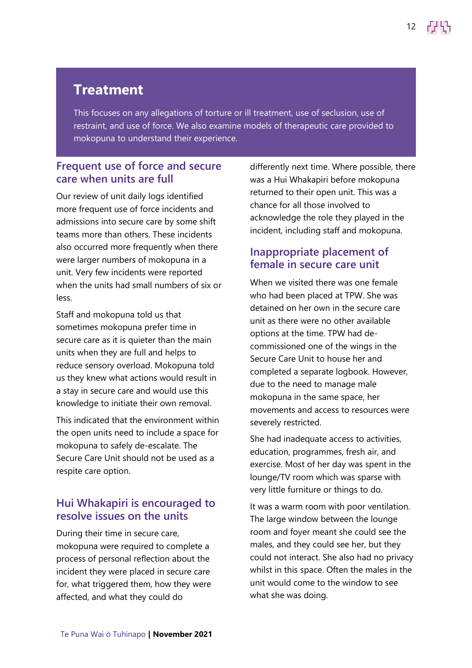### **Treatment**

This focuses on any allegations of torture or ill treatment, use of seclusion, use of restraint, and use of force. We also examine models of therapeutic care provided to mokopuna to understand their experience.

#### **Frequent use of force and secure care when units are full**

Our review of unit daily logs identified more frequent use of force incidents and admissions into secure care by some shift teams more than others. These incidents also occurred more frequently when there were larger numbers of mokopuna in a unit. Very few incidents were reported when the units had small numbers of six or less.

Staff and mokopuna told us that sometimes mokopuna prefer time in secure care as it is quieter than the main units when they are full and helps to reduce sensory overload. Mokopuna told us they knew what actions would result in a stay in secure care and would use this knowledge to initiate their own removal.

This indicated that the environment within the open units need to include a space for mokopuna to safely de-escalate. The Secure Care Unit should not be used as a respite care option.

#### **Hui Whakapiri is encouraged to resolve issues on the units**

During their time in secure care, mokopuna were required to complete a process of personal reflection about the incident they were placed in secure care for, what triggered them, how they were affected, and what they could do

differently next time. Where possible, there was a Hui Whakapiri before mokopuna returned to their open unit. This was a chance for all those involved to acknowledge the role they played in the incident, including staff and mokopuna.

#### **Inappropriate placement of female in secure care unit**

When we visited there was one female who had been placed at TPW. She was detained on her own in the secure care unit as there were no other available options at the time. TPW had decommissioned one of the wings in the Secure Care Unit to house her and completed a separate logbook. However, due to the need to manage male mokopuna in the same space, her movements and access to resources were severely restricted.

She had inadequate access to activities, education, programmes, fresh air, and exercise. Most of her day was spent in the lounge/TV room which was sparse with very little furniture or things to do.

It was a warm room with poor ventilation. The large window between the lounge room and foyer meant she could see the males, and they could see her, but they could not interact. She also had no privacy whilst in this space. Often the males in the unit would come to the window to see what she was doing.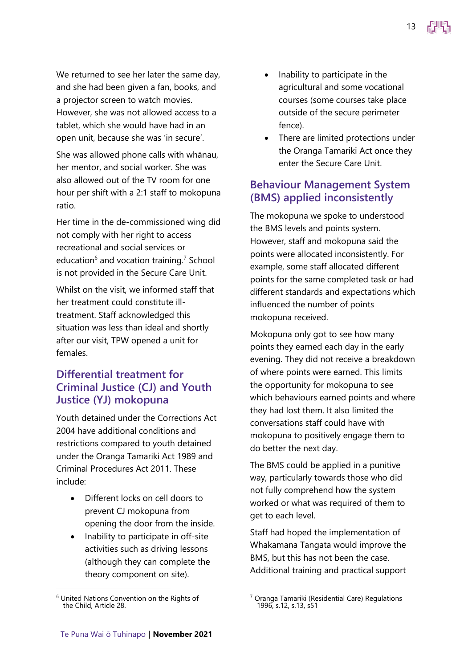We returned to see her later the same day, and she had been given a fan, books, and a projector screen to watch movies. However, she was not allowed access to a tablet, which she would have had in an open unit, because she was 'in secure'.

She was allowed phone calls with whānau, her mentor, and social worker. She was also allowed out of the TV room for one hour per shift with a 2:1 staff to mokopuna ratio.

Her time in the de-commissioned wing did not comply with her right to access recreational and social services or education $^6$  and vocation training.<sup>7</sup> School is not provided in the Secure Care Unit.

Whilst on the visit, we informed staff that her treatment could constitute illtreatment. Staff acknowledged this situation was less than ideal and shortly after our visit, TPW opened a unit for females.

#### **Differential treatment for Criminal Justice (CJ) and Youth Justice (YJ) mokopuna**

Youth detained under the Corrections Act 2004 have additional conditions and restrictions compared to youth detained under the Oranga Tamariki Act 1989 and Criminal Procedures Act 2011. These include:

- Different locks on cell doors to prevent CJ mokopuna from opening the door from the inside.
- Inability to participate in off-site activities such as driving lessons (although they can complete the theory component on site).

• Inability to participate in the agricultural and some vocational courses (some courses take place outside of the secure perimeter fence).

13

• There are limited protections under the Oranga Tamariki Act once they enter the Secure Care Unit.

#### **Behaviour Management System (BMS) applied inconsistently**

The mokopuna we spoke to understood the BMS levels and points system. However, staff and mokopuna said the points were allocated inconsistently. For example, some staff allocated different points for the same completed task or had different standards and expectations which influenced the number of points mokopuna received.

Mokopuna only got to see how many points they earned each day in the early evening. They did not receive a breakdown of where points were earned. This limits the opportunity for mokopuna to see which behaviours earned points and where they had lost them. It also limited the conversations staff could have with mokopuna to positively engage them to do better the next day.

The BMS could be applied in a punitive way, particularly towards those who did not fully comprehend how the system worked or what was required of them to get to each level.

Staff had hoped the implementation of Whakamana Tangata would improve the BMS, but this has not been the case. Additional training and practical support

<sup>6</sup> United Nations Convention on the Rights of the Child, Article 28.

<sup>7</sup> Oranga Tamariki (Residential Care) Regulations 1996, s.12, s.13, s51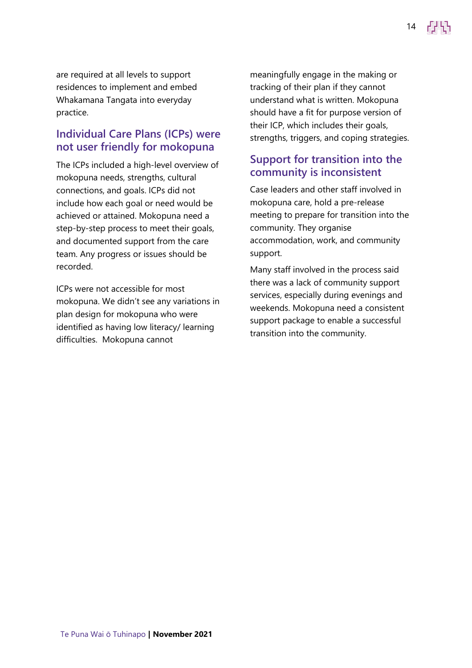are required at all levels to support residences to implement and embed Whakamana Tangata into everyday practice.

#### **Individual Care Plans (ICPs) were not user friendly for mokopuna**

The ICPs included a high-level overview of mokopuna needs, strengths, cultural connections, and goals. ICPs did not include how each goal or need would be achieved or attained. Mokopuna need a step-by-step process to meet their goals, and documented support from the care team. Any progress or issues should be recorded.

ICPs were not accessible for most mokopuna. We didn't see any variations in plan design for mokopuna who were identified as having low literacy/ learning difficulties. Mokopuna cannot

meaningfully engage in the making or tracking of their plan if they cannot understand what is written. Mokopuna should have a fit for purpose version of their ICP, which includes their goals, strengths, triggers, and coping strategies.

14

#### **Support for transition into the community is inconsistent**

Case leaders and other staff involved in mokopuna care, hold a pre-release meeting to prepare for transition into the community. They organise accommodation, work, and community support.

Many staff involved in the process said there was a lack of community support services, especially during evenings and weekends. Mokopuna need a consistent support package to enable a successful transition into the community.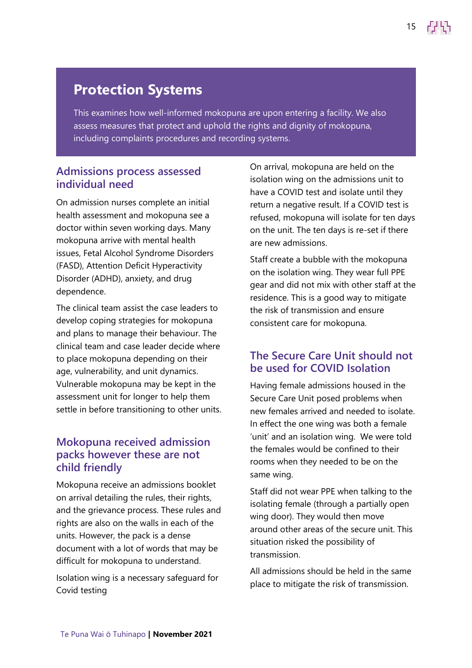### **Protection Systems**

This examines how well-informed mokopuna are upon entering a facility. We also assess measures that protect and uphold the rights and dignity of mokopuna, including complaints procedures and recording systems.

#### **Admissions process assessed individual need**

On admission nurses complete an initial health assessment and mokopuna see a doctor within seven working days. Many mokopuna arrive with mental health issues, Fetal Alcohol Syndrome Disorders (FASD), Attention Deficit Hyperactivity Disorder (ADHD), anxiety, and drug dependence.

The clinical team assist the case leaders to develop coping strategies for mokopuna and plans to manage their behaviour. The clinical team and case leader decide where to place mokopuna depending on their age, vulnerability, and unit dynamics. Vulnerable mokopuna may be kept in the assessment unit for longer to help them settle in before transitioning to other units.

#### **Mokopuna received admission packs however these are not child friendly**

Mokopuna receive an admissions booklet on arrival detailing the rules, their rights, and the grievance process. These rules and rights are also on the walls in each of the units. However, the pack is a dense document with a lot of words that may be difficult for mokopuna to understand.

Isolation wing is a necessary safeguard for Covid testing

On arrival, mokopuna are held on the isolation wing on the admissions unit to have a COVID test and isolate until they return a negative result. If a COVID test is refused, mokopuna will isolate for ten days on the unit. The ten days is re-set if there are new admissions.

Staff create a bubble with the mokopuna on the isolation wing. They wear full PPE gear and did not mix with other staff at the residence. This is a good way to mitigate the risk of transmission and ensure consistent care for mokopuna.

#### **The Secure Care Unit should not be used for COVID Isolation**

Having female admissions housed in the Secure Care Unit posed problems when new females arrived and needed to isolate. In effect the one wing was both a female 'unit' and an isolation wing. We were told the females would be confined to their rooms when they needed to be on the same wing.

Staff did not wear PPE when talking to the isolating female (through a partially open wing door). They would then move around other areas of the secure unit. This situation risked the possibility of transmission.

All admissions should be held in the same place to mitigate the risk of transmission.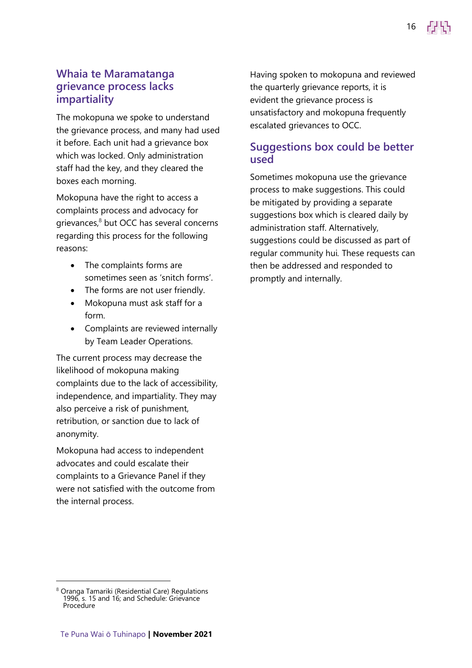#### **Whaia te Maramatanga grievance process lacks impartiality**

The mokopuna we spoke to understand the grievance process, and many had used it before. Each unit had a grievance box which was locked. Only administration staff had the key, and they cleared the boxes each morning.

Mokopuna have the right to access a complaints process and advocacy for grievances, <sup>8</sup> but OCC has several concerns regarding this process for the following reasons:

- The complaints forms are sometimes seen as 'snitch forms'.
- The forms are not user friendly.
- Mokopuna must ask staff for a form.
- Complaints are reviewed internally by Team Leader Operations.

The current process may decrease the likelihood of mokopuna making complaints due to the lack of accessibility, independence, and impartiality. They may also perceive a risk of punishment, retribution, or sanction due to lack of anonymity.

Mokopuna had access to independent advocates and could escalate their complaints to a Grievance Panel if they were not satisfied with the outcome from the internal process.

Having spoken to mokopuna and reviewed the quarterly grievance reports, it is evident the grievance process is unsatisfactory and mokopuna frequently escalated grievances to OCC.

#### **Suggestions box could be better used**

Sometimes mokopuna use the grievance process to make suggestions. This could be mitigated by providing a separate suggestions box which is cleared daily by administration staff. Alternatively, suggestions could be discussed as part of regular community hui*.* These requests can then be addressed and responded to promptly and internally.

<sup>&</sup>lt;sup>8</sup> Oranga Tamariki (Residential Care) Regulations 1996, s. 15 and 16; and Schedule: Grievance Procedure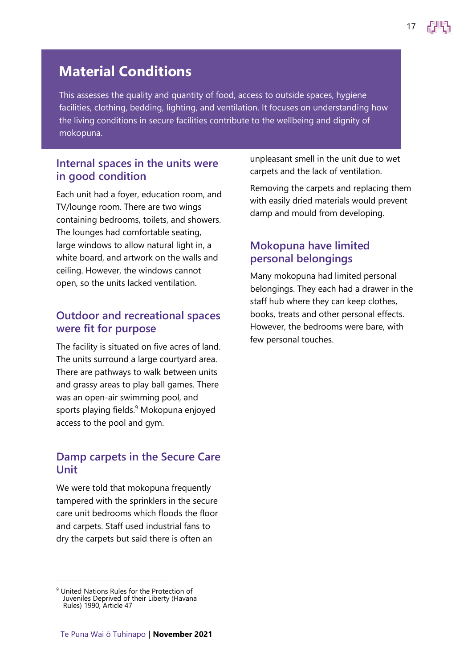### **Material Conditions**

This assesses the quality and quantity of food, access to outside spaces, hygiene facilities, clothing, bedding, lighting, and ventilation. It focuses on understanding how the living conditions in secure facilities contribute to the wellbeing and dignity of mokopuna.

#### **Internal spaces in the units were in good condition**

Each unit had a foyer, education room, and TV/lounge room. There are two wings containing bedrooms, toilets, and showers. The lounges had comfortable seating, large windows to allow natural light in, a white board, and artwork on the walls and ceiling. However, the windows cannot open, so the units lacked ventilation.

#### **Outdoor and recreational spaces were fit for purpose**

The facility is situated on five acres of land. The units surround a large courtyard area. There are pathways to walk between units and grassy areas to play ball games. There was an open-air swimming pool, and sports playing fields.<sup>9</sup> Mokopuna enjoyed access to the pool and gym.

#### **Damp carpets in the Secure Care Unit**

We were told that mokopuna frequently tampered with the sprinklers in the secure care unit bedrooms which floods the floor and carpets. Staff used industrial fans to dry the carpets but said there is often an

unpleasant smell in the unit due to wet carpets and the lack of ventilation.

Removing the carpets and replacing them with easily dried materials would prevent damp and mould from developing.

#### **Mokopuna have limited personal belongings**

Many mokopuna had limited personal belongings. They each had a drawer in the staff hub where they can keep clothes, books, treats and other personal effects. However, the bedrooms were bare, with few personal touches.

<sup>&</sup>lt;sup>9</sup> United Nations Rules for the Protection of Juveniles Deprived of their Liberty (Havana Rules) 1990, Article 47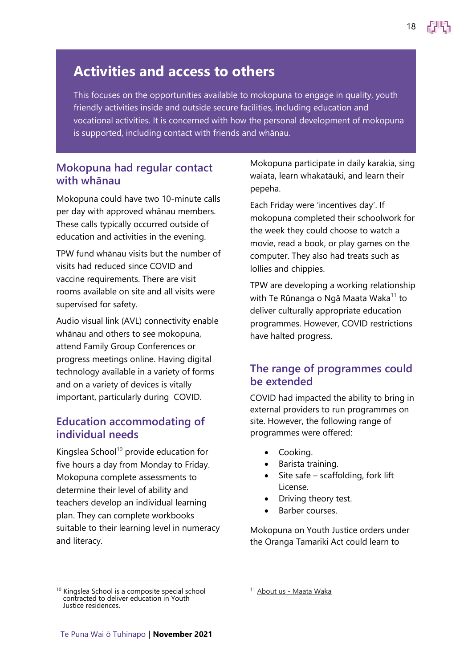### **Activities and access to others**

This focuses on the opportunities available to mokopuna to engage in quality, youth friendly activities inside and outside secure facilities, including education and vocational activities. It is concerned with how the personal development of mokopuna is supported, including contact with friends and whānau.

#### **Mokopuna had regular contact with whānau**

Mokopuna could have two 10-minute calls per day with approved whānau members. These calls typically occurred outside of education and activities in the evening.

TPW fund whānau visits but the number of visits had reduced since COVID and vaccine requirements. There are visit rooms available on site and all visits were supervised for safety.

Audio visual link (AVL) connectivity enable whānau and others to see mokopuna, attend Family Group Conferences or progress meetings online. Having digital technology available in a variety of forms and on a variety of devices is vitally important, particularly during COVID.

#### **Education accommodating of individual needs**

Kingslea School $10$  provide education for five hours a day from Monday to Friday. Mokopuna complete assessments to determine their level of ability and teachers develop an individual learning plan. They can complete workbooks suitable to their learning level in numeracy and literacy.

Mokopuna participate in daily karakia, sing waiata, learn whakatāuki, and learn their pepeha.

18

Each Friday were 'incentives day'. If mokopuna completed their schoolwork for the week they could choose to watch a movie, read a book, or play games on the computer. They also had treats such as lollies and chippies.

TPW are developing a working relationship with Te Rūnanga o Ngā Maata Waka<sup>11</sup> to deliver culturally appropriate education programmes. However, COVID restrictions have halted progress.

#### **The range of programmes could be extended**

COVID had impacted the ability to bring in external providers to run programmes on site. However, the following range of programmes were offered:

- Cooking.
- Barista training.
- Site safe scaffolding, fork lift License.
- Driving theory test.
- Barber courses.

Mokopuna on Youth Justice orders under the Oranga Tamariki Act could learn to

<sup>11</sup> About us - [Maata Waka](https://maatawaka.org.nz/about-us/)

<sup>&</sup>lt;sup>10</sup> Kingslea School is a composite special school contracted to deliver education in Youth Justice residences.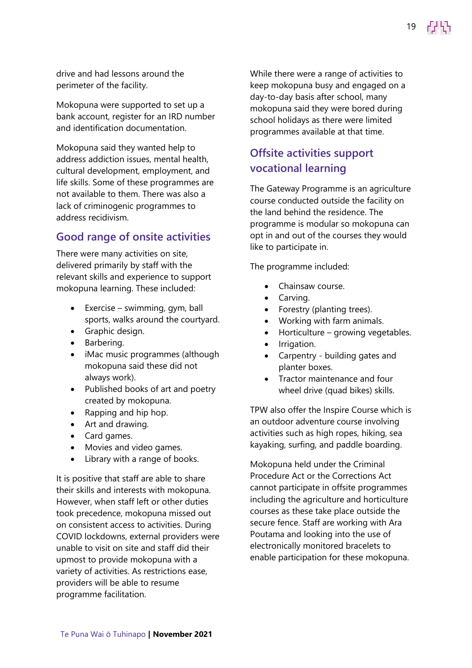drive and had lessons around the perimeter of the facility.

Mokopuna were supported to set up a bank account, register for an IRD number and identification documentation.

Mokopuna said they wanted help to address addiction issues, mental health, cultural development, employment, and life skills. Some of these programmes are not available to them. There was also a lack of criminogenic programmes to address recidivism.

#### **Good range of onsite activities**

There were many activities on site, delivered primarily by staff with the relevant skills and experience to support mokopuna learning. These included:

- Exercise swimming, gym, ball sports, walks around the courtyard.
- Graphic design.
- Barbering.
- iMac music programmes (although mokopuna said these did not always work).
- Published books of art and poetry created by mokopuna.
- Rapping and hip hop.
- Art and drawing.
- Card games.
- Movies and video games.
- Library with a range of books.

It is positive that staff are able to share their skills and interests with mokopuna. However, when staff left or other duties took precedence, mokopuna missed out on consistent access to activities. During COVID lockdowns, external providers were unable to visit on site and staff did their upmost to provide mokopuna with a variety of activities. As restrictions ease, providers will be able to resume programme facilitation.

While there were a range of activities to keep mokopuna busy and engaged on a day-to-day basis after school, many mokopuna said they were bored during school holidays as there were limited programmes available at that time.

19

#### **Offsite activities support vocational learning**

The Gateway Programme is an agriculture course conducted outside the facility on the land behind the residence. The programme is modular so mokopuna can opt in and out of the courses they would like to participate in.

The programme included:

- Chainsaw course.
- Carving.
- Forestry (planting trees).
- Working with farm animals.
- Horticulture growing vegetables.
- Irrigation.
- Carpentry building gates and planter boxes.
- Tractor maintenance and four wheel drive (quad bikes) skills.

TPW also offer the Inspire Course which is an outdoor adventure course involving activities such as high ropes, hiking, sea kayaking, surfing, and paddle boarding.

Mokopuna held under the Criminal Procedure Act or the Corrections Act cannot participate in offsite programmes including the agriculture and horticulture courses as these take place outside the secure fence. Staff are working with Ara Poutama and looking into the use of electronically monitored bracelets to enable participation for these mokopuna.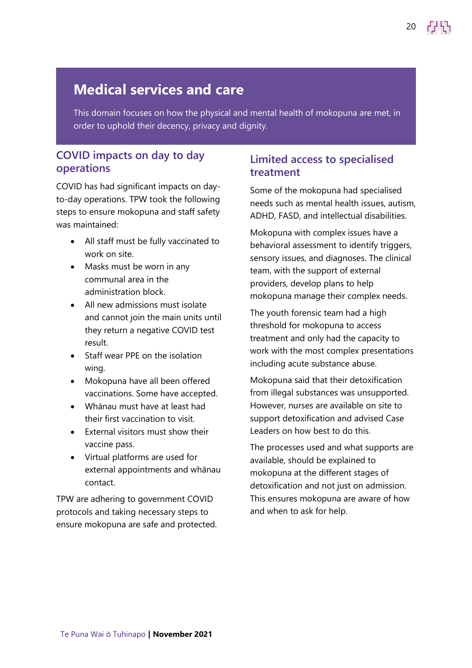This domain focuses on how the physical and mental health of mokopuna are met, in order to uphold their decency, privacy and dignity.

#### **COVID impacts on day to day operations**

COVID has had significant impacts on dayto-day operations. TPW took the following steps to ensure mokopuna and staff safety was maintained:

- All staff must be fully vaccinated to work on site.
- Masks must be worn in any communal area in the administration block.
- All new admissions must isolate and cannot join the main units until they return a negative COVID test result.
- Staff wear PPE on the isolation wing.
- Mokopuna have all been offered vaccinations. Some have accepted.
- Whānau must have at least had their first vaccination to visit.
- External visitors must show their vaccine pass.
- Virtual platforms are used for external appointments and whānau contact.

TPW are adhering to government COVID protocols and taking necessary steps to ensure mokopuna are safe and protected.

#### **Limited access to specialised treatment**

Some of the mokopuna had specialised needs such as mental health issues, autism, ADHD, FASD, and intellectual disabilities.

20

Mokopuna with complex issues have a behavioral assessment to identify triggers, sensory issues, and diagnoses. The clinical team, with the support of external providers, develop plans to help mokopuna manage their complex needs.

The youth forensic team had a high threshold for mokopuna to access treatment and only had the capacity to work with the most complex presentations including acute substance abuse.

Mokopuna said that their detoxification from illegal substances was unsupported. However, nurses are available on site to support detoxification and advised Case Leaders on how best to do this.

The processes used and what supports are available, should be explained to mokopuna at the different stages of detoxification and not just on admission. This ensures mokopuna are aware of how and when to ask for help.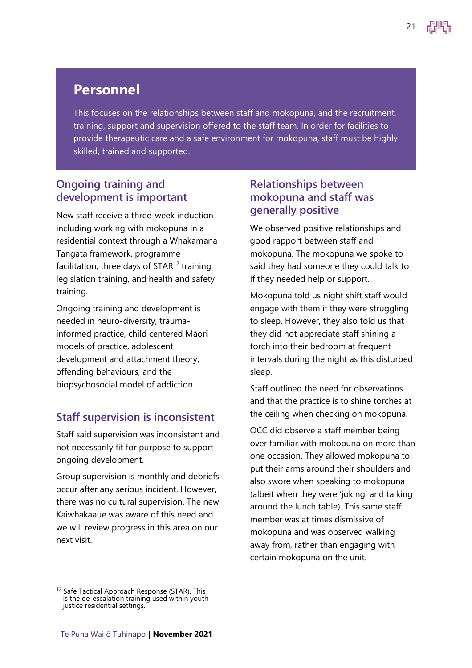### **Personnel**

This focuses on the relationships between staff and mokopuna, and the recruitment, training, support and supervision offered to the staff team. In order for facilities to provide therapeutic care and a safe environment for mokopuna, staff must be highly skilled, trained and supported.

#### **Ongoing training and development is important**

New staff receive a three-week induction including working with mokopuna in a residential context through a Whakamana Tangata framework, programme facilitation, three days of  $STAR^{12}$  training, legislation training, and health and safety training.

Ongoing training and development is needed in neuro-diversity, traumainformed practice, child centered Māori models of practice, adolescent development and attachment theory, offending behaviours, and the biopsychosocial model of addiction.

#### **Staff supervision is inconsistent**

Staff said supervision was inconsistent and not necessarily fit for purpose to support ongoing development.

Group supervision is monthly and debriefs occur after any serious incident. However, there was no cultural supervision. The new Kaiwhakaaue was aware of this need and we will review progress in this area on our next visit.

#### **Relationships between mokopuna and staff was generally positive**

We observed positive relationships and good rapport between staff and mokopuna. The mokopuna we spoke to said they had someone they could talk to if they needed help or support.

Mokopuna told us night shift staff would engage with them if they were struggling to sleep. However, they also told us that they did not appreciate staff shining a torch into their bedroom at frequent intervals during the night as this disturbed sleep.

Staff outlined the need for observations and that the practice is to shine torches at the ceiling when checking on mokopuna.

OCC did observe a staff member being over familiar with mokopuna on more than one occasion. They allowed mokopuna to put their arms around their shoulders and also swore when speaking to mokopuna (albeit when they were 'joking' and talking around the lunch table). This same staff member was at times dismissive of mokopuna and was observed walking away from, rather than engaging with certain mokopuna on the unit.

<sup>&</sup>lt;sup>12</sup> Safe Tactical Approach Response (STAR). This is the de-escalation training used within youth justice residential settings.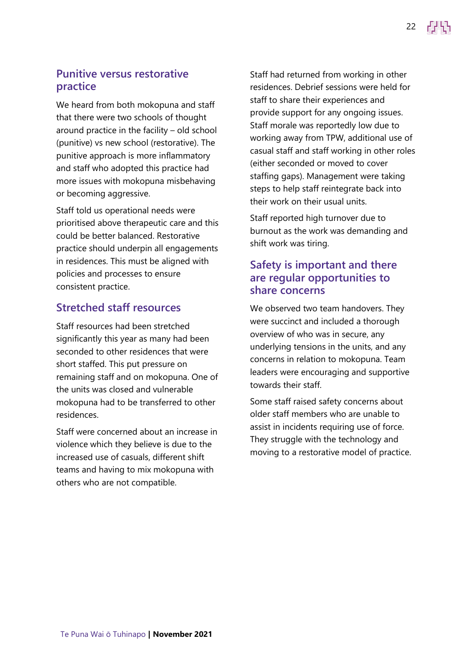## **Punitive versus restorative**

We heard from both mokopuna and staff that there were two schools of thought around practice in the facility – old school (punitive) vs new school (restorative). The punitive approach is more inflammatory and staff who adopted this practice had more issues with mokopuna misbehaving or becoming aggressive.

**practice** 

Staff told us operational needs were prioritised above therapeutic care and this could be better balanced. Restorative practice should underpin all engagements in residences. This must be aligned with policies and processes to ensure consistent practice.

#### **Stretched staff resources**

Staff resources had been stretched significantly this year as many had been seconded to other residences that were short staffed. This put pressure on remaining staff and on mokopuna. One of the units was closed and vulnerable mokopuna had to be transferred to other residences.

Staff were concerned about an increase in violence which they believe is due to the increased use of casuals, different shift teams and having to mix mokopuna with others who are not compatible.

Staff had returned from working in other residences. Debrief sessions were held for staff to share their experiences and provide support for any ongoing issues. Staff morale was reportedly low due to working away from TPW, additional use of casual staff and staff working in other roles (either seconded or moved to cover staffing gaps). Management were taking steps to help staff reintegrate back into their work on their usual units.

Staff reported high turnover due to burnout as the work was demanding and shift work was tiring.

#### **Safety is important and there are regular opportunities to share concerns**

We observed two team handovers. They were succinct and included a thorough overview of who was in secure, any underlying tensions in the units, and any concerns in relation to mokopuna. Team leaders were encouraging and supportive towards their staff.

Some staff raised safety concerns about older staff members who are unable to assist in incidents requiring use of force. They struggle with the technology and moving to a restorative model of practice.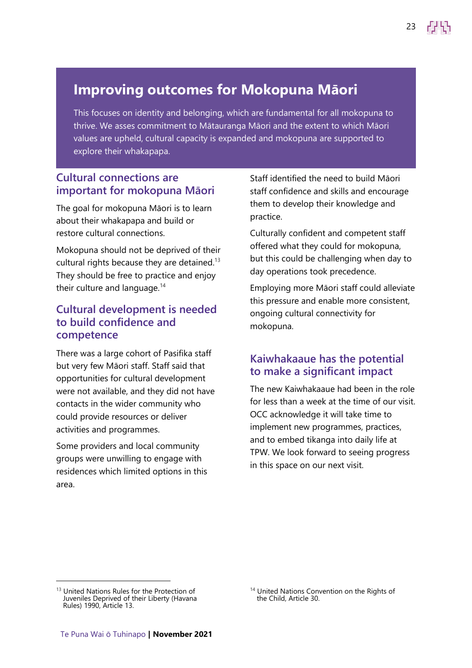### **Improving outcomes for Mokopuna Māori**

This focuses on identity and belonging, which are fundamental for all mokopuna to thrive. We asses commitment to Mātauranga Māori and the extent to which Māori values are upheld, cultural capacity is expanded and mokopuna are supported to explore their whakapapa.

#### **Cultural connections are important for mokopuna Māori**

The goal for mokopuna Māori is to learn about their whakapapa and build or restore cultural connections.

Mokopuna should not be deprived of their cultural rights because they are detained. $13$ They should be free to practice and enjoy their culture and language.<sup>14</sup>

#### **Cultural development is needed to build confidence and competence**

There was a large cohort of Pasifika staff but very few Māori staff. Staff said that opportunities for cultural development were not available, and they did not have contacts in the wider community who could provide resources or deliver activities and programmes.

Some providers and local community groups were unwilling to engage with residences which limited options in this area.

Staff identified the need to build Māori staff confidence and skills and encourage them to develop their knowledge and practice.

23

Culturally confident and competent staff offered what they could for mokopuna, but this could be challenging when day to day operations took precedence.

Employing more Māori staff could alleviate this pressure and enable more consistent, ongoing cultural connectivity for mokopuna.

#### **Kaiwhakaaue has the potential to make a significant impact**

The new Kaiwhakaaue had been in the role for less than a week at the time of our visit. OCC acknowledge it will take time to implement new programmes, practices, and to embed tikanga into daily life at TPW. We look forward to seeing progress in this space on our next visit.

<sup>&</sup>lt;sup>13</sup> United Nations Rules for the Protection of Juveniles Deprived of their Liberty (Havana Rules) 1990, Article 13.

<sup>&</sup>lt;sup>14</sup> United Nations Convention on the Rights of the Child, Article 30.